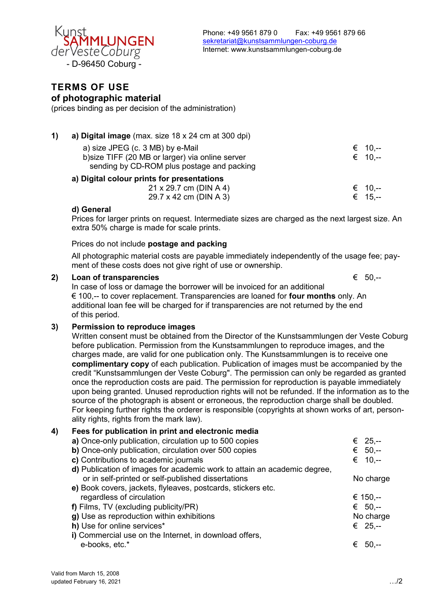

# **TERMS OF USE of photographic material**

(prices binding as per decision of the administration)

| 1) | a) Digital image (max. size 18 x 24 cm at 300 dpi)                                                                                 |                        |
|----|------------------------------------------------------------------------------------------------------------------------------------|------------------------|
|    | a) size JPEG (c. 3 MB) by e-Mail<br>b) size TIFF (20 MB or larger) via online server<br>sending by CD-ROM plus postage and packing | $∈$ 10.--<br>$∈$ 10.-- |
|    | a) Digital colour prints for presentations                                                                                         |                        |
|    | 21 x 29.7 cm (DIN A 4)                                                                                                             | $∈$ 10.--              |
|    | 29.7 x 42 cm (DIN A 3)                                                                                                             | $∈$ 15.--              |

## **d) General**

Prices for larger prints on request. Intermediate sizes are charged as the next largest size. An extra 50% charge is made for scale prints.

## Prices do not include **postage and packing**

All photographic material costs are payable immediately independently of the usage fee; payment of these costs does not give right of use or ownership.

#### **2) Loan of transparencies** € 50,--

In case of loss or damage the borrower will be invoiced for an additional € 100,-- to cover replacement. Transparencies are loaned for **four months** only. An additional loan fee will be charged for if transparencies are not returned by the end of this period.

## **3) Permission to reproduce images**

Written consent must be obtained from the Director of the Kunstsammlungen der Veste Coburg before publication. Permission from the Kunstsammlungen to reproduce images, and the charges made, are valid for one publication only. The Kunstsammlungen is to receive one **complimentary copy** of each publication. Publication of images must be accompanied by the credit "Kunstsammlungen der Veste Coburg". The permission can only be regarded as granted once the reproduction costs are paid. The permission for reproduction is payable immediately upon being granted. Unused reproduction rights will not be refunded. If the information as to the source of the photograph is absent or erroneous, the reproduction charge shall be doubled. For keeping further rights the orderer is responsible (copyrights at shown works of art, personality rights, rights from the mark law).

## **4) Fees for publication in print and electronic media**

| a) Once-only publication, circulation up to 500 copies                   | € 25,--     |
|--------------------------------------------------------------------------|-------------|
| b) Once-only publication, circulation over 500 copies                    | € $50,-$    |
| c) Contributions to academic journals                                    | € 10.--     |
| d) Publication of images for academic work to attain an academic degree, |             |
| or in self-printed or self-published dissertations                       | No charge   |
| e) Book covers, jackets, flyleaves, postcards, stickers etc.             |             |
| regardless of circulation                                                | € 150,--    |
| f) Films, TV (excluding publicity/PR)                                    | € $50,-$    |
| g) Use as reproduction within exhibitions                                | No charge   |
| h) Use for online services*                                              | € 25,--     |
| i) Commercial use on the Internet, in download offers,                   |             |
| e-books, etc.*                                                           | -50.--<br>€ |